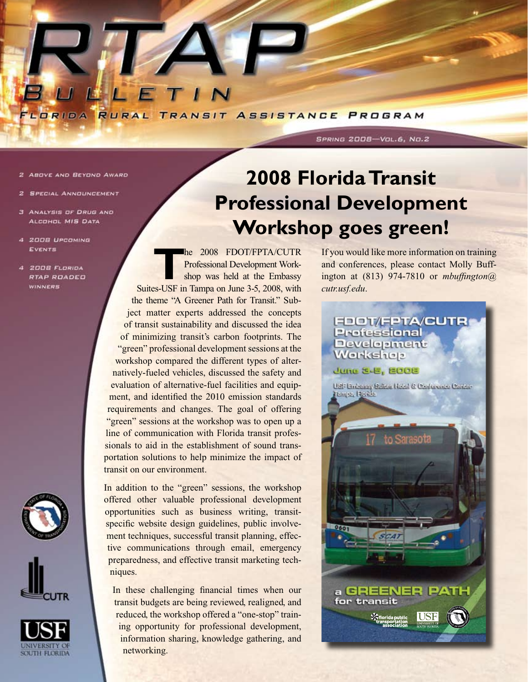

- 2 ABOVE AND BEYOND AWARD
- **SPECIAL ANNOUNCEMENT**
- 3 ANALYSIS OF DRUG AND ALCOHOL MIS DATA
- 4 2008 UPCOMING EVENTS
- 4 2008 FLORIDA **RTAP ROADED** WINNERS







# **2008 Florida Transit Professional Development Workshop goes green!**

SPRING 2008-VOL.6, NO.2

**THE 2008 FDOT/FPTA/CUTR**<br>Professional Development Workshop was held at the Embassy<br>RE USE in Tampa on June 3.5, 2008 with Professional Development Workshop was held at the Embassy Suites-USF in Tampa on June 3-5, 2008, with the theme "A Greener Path for Transit." Subject matter experts addressed the concepts of transit sustainability and discussed the idea of minimizing transit's carbon footprints. The "green" professional development sessions at the workshop compared the different types of alternatively-fueled vehicles, discussed the safety and evaluation of alternative-fuel facilities and equipment, and identified the 2010 emission standards requirements and changes. The goal of offering "green" sessions at the workshop was to open up a line of communication with Florida transit professionals to aid in the establishment of sound transportation solutions to help minimize the impact of transit on our environment.

In addition to the "green" sessions, the workshop offered other valuable professional development opportunities such as business writing, transitspecific website design guidelines, public involvement techniques, successful transit planning, effective communications through email, emergency preparedness, and effective transit marketing techniques.

In these challenging financial times when our transit budgets are being reviewed, realigned, and reduced, the workshop offered a "one-stop" training opportunity for professional development, information sharing, knowledge gathering, and networking.

If you would like more information on training and conferences, please contact Molly Buffington at (813) 974-7810 or *mbuffington@ cutr.usf.edu*.

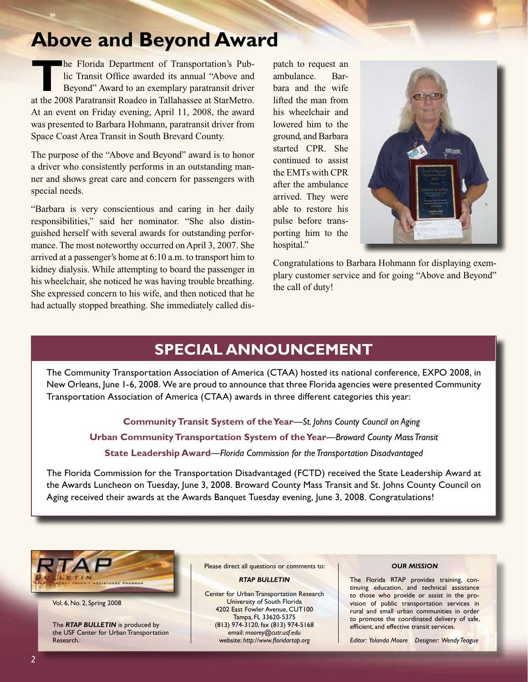# **Above and Beyond Award**

**T**he Florida Department of Transportation's Public Transit Office awarded its annual "Above and Beyond" Award to an exemplary paratransit driver at the 2008 Paratransit Roadeo in Tallahassee at StarMetro. At an event on Friday evening, April 11, 2008, the award was presented to Barbara Hohmann, paratransit driver from Space Coast Area Transit in South Brevard County.

The purpose of the "Above and Beyond" award is to honor a driver who consistently performs in an outstanding manner and shows great care and concern for passengers with special needs.

"Barbara is very conscientious and caring in her daily responsibilities," said her nominator. "She also distinguished herself with several awards for outstanding performance. The most noteworthy occurred on April 3, 2007. She arrived at a passenger's home at 6:10 a.m. to transport him to kidney dialysis. While attempting to board the passenger in his wheelchair, she noticed he was having trouble breathing. She expressed concern to his wife, and then noticed that he had actually stopped breathing. She immediately called dispatch to request an ambulance. Barbara and the wife lifted the man from his wheelchair and lowered him to the ground, and Barbara started CPR. She continued to assist the EMTs with CPR after the ambulance arrived. They were able to restore his pulse before transporting him to the hospital."



Congratulations to Barbara Hohmann for displaying exemplary customer service and for going "Above and Beyond" the call of duty!

# **Special Announcement**

The Community Transportation Association of America (CTAA) hosted its national conference, EXPO 2008, in New Orleans, June 1-6, 2008. We are proud to announce that three Florida agencies were presented Community Transportation Association of America (CTAA) awards in three different categories this year:

**Community Transit System of the Year**—*St. Johns County Council on Aging* **Urban Community Transportation System of the Year**—*Broward County Mass Transit* **State Leadership Award**—*Florida Commission for the Transportation Disadvantaged*

The Florida Commission for the Transportation Disadvantaged (FCTD) received the State Leadership Award at the Awards Luncheon on Tuesday, June 3, 2008. Broward County Mass Transit and St. Johns County Council on Aging received their awards at the Awards Banquet Tuesday evening, June 3, 2008. Congratulations!



Vol. 6, No. 2, Spring 2008

The *RTAP BULLETIN* is produced by the USF Center for Urban Transportation Research.

Please direct all questions or comments to:

#### *RTAP BULLETIN*

Center for Urban Transportation Research University of South Florida 4202 East Fowler Avenue, CUT100 Tampa, FL 33620-5375 (813) 974-3120, fax (813) 974-5168 email: *moorey@cutr.usf.edu* website: *http://www.floridartap.org*

#### *OUR MISSION*

The Florida RTAP provides training, continuing education, and technical assistance to those who provide or assist in the provision of public transportation services in rural and small urban communities in order to promote the coordinated delivery of safe, efficient, and effective transit services.

*Editor: Yolanda Moore Designer: Wendy Teague*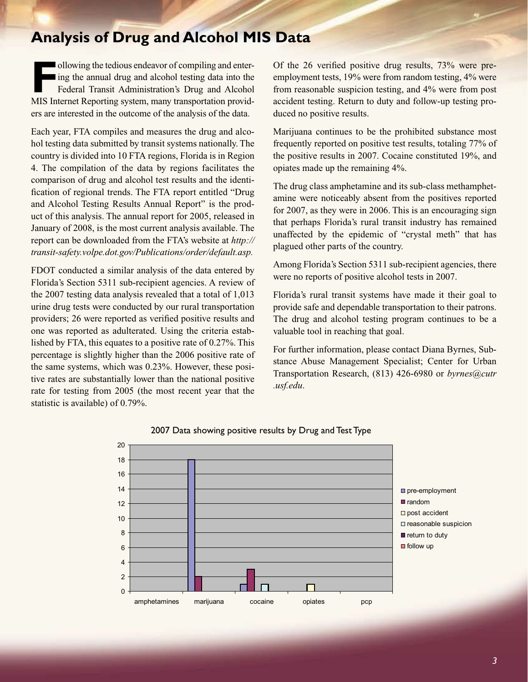## **Analysis of Drug and Alcohol MIS Data**

Indian endeavor of compiling and enter-<br>
Federal Transit Administration's Drug and Alcohol<br>
MIS Internet Beneting system many transportation provid ing the annual drug and alcohol testing data into the Federal Transit Administration's Drug and Alcohol MIS Internet Reporting system, many transportation providers are interested in the outcome of the analysis of the data.

Each year, FTA compiles and measures the drug and alcohol testing data submitted by transit systems nationally. The country is divided into 10 FTA regions, Florida is in Region 4. The compilation of the data by regions facilitates the comparison of drug and alcohol test results and the identification of regional trends. The FTA report entitled "Drug and Alcohol Testing Results Annual Report" is the product of this analysis. The annual report for 2005, released in January of 2008, is the most current analysis available. The report can be downloaded from the FTA's website at *http:// transit-safety.volpe.dot.gov/Publications/order/default.asp.*

FDOT conducted a similar analysis of the data entered by Florida's Section 5311 sub-recipient agencies. A review of the 2007 testing data analysis revealed that a total of 1,013 urine drug tests were conducted by our rural transportation providers; 26 were reported as verified positive results and one was reported as adulterated. Using the criteria established by FTA, this equates to a positive rate of 0.27%. This percentage is slightly higher than the 2006 positive rate of the same systems, which was 0.23%. However, these positive rates are substantially lower than the national positive rate for testing from 2005 (the most recent year that the statistic is available) of 0.79%.

Of the 26 verified positive drug results, 73% were preemployment tests, 19% were from random testing, 4% were from reasonable suspicion testing, and 4% were from post accident testing. Return to duty and follow-up testing produced no positive results.

Marijuana continues to be the prohibited substance most frequently reported on positive test results, totaling 77% of the positive results in 2007. Cocaine constituted 19%, and opiates made up the remaining 4%.

The drug class amphetamine and its sub-class methamphetamine were noticeably absent from the positives reported for 2007, as they were in 2006. This is an encouraging sign that perhaps Florida's rural transit industry has remained unaffected by the epidemic of "crystal meth" that has plagued other parts of the country.

Among Florida's Section 5311 sub-recipient agencies, there were no reports of positive alcohol tests in 2007.

Florida's rural transit systems have made it their goal to provide safe and dependable transportation to their patrons. The drug and alcohol testing program continues to be a valuable tool in reaching that goal.

For further information, please contact Diana Byrnes, Substance Abuse Management Specialist; Center for Urban Transportation Research, (813) 426-6980 or *byrnes@cutr .usf.edu*.



#### 2007 Data showing positive results by Drug and Test Type